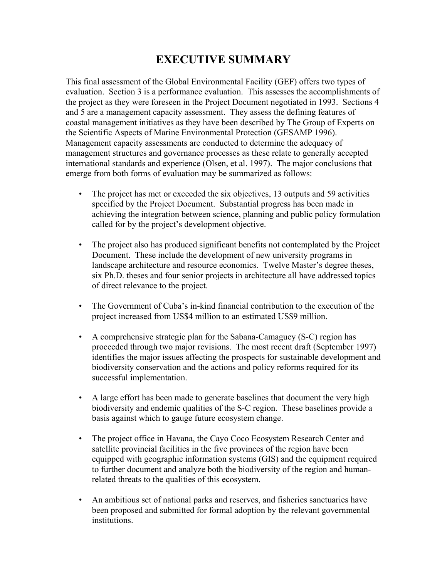# **EXECUTIVE SUMMARY**

This final assessment of the Global Environmental Facility (GEF) offers two types of evaluation. Section 3 is a performance evaluation. This assesses the accomplishments of the project as they were foreseen in the Project Document negotiated in 1993. Sections 4 and 5 are a management capacity assessment. They assess the defining features of coastal management initiatives as they have been described by The Group of Experts on the Scientific Aspects of Marine Environmental Protection (GESAMP 1996). Management capacity assessments are conducted to determine the adequacy of management structures and governance processes as these relate to generally accepted international standards and experience (Olsen, et al. 1997). The major conclusions that emerge from both forms of evaluation may be summarized as follows:

- The project has met or exceeded the six objectives, 13 outputs and 59 activities specified by the Project Document. Substantial progress has been made in achieving the integration between science, planning and public policy formulation called for by the project's development objective.
- The project also has produced significant benefits not contemplated by the Project Document. These include the development of new university programs in landscape architecture and resource economics. Twelve Master's degree theses, six Ph.D. theses and four senior projects in architecture all have addressed topics of direct relevance to the project.
- The Government of Cuba's in-kind financial contribution to the execution of the project increased from US\$4 million to an estimated US\$9 million.
- A comprehensive strategic plan for the Sabana-Camaguey (S-C) region has proceeded through two major revisions. The most recent draft (September 1997) identifies the major issues affecting the prospects for sustainable development and biodiversity conservation and the actions and policy reforms required for its successful implementation.
- A large effort has been made to generate baselines that document the very high biodiversity and endemic qualities of the S-C region. These baselines provide a basis against which to gauge future ecosystem change.
- The project office in Havana, the Cayo Coco Ecosystem Research Center and satellite provincial facilities in the five provinces of the region have been equipped with geographic information systems (GIS) and the equipment required to further document and analyze both the biodiversity of the region and humanrelated threats to the qualities of this ecosystem.
- An ambitious set of national parks and reserves, and fisheries sanctuaries have been proposed and submitted for formal adoption by the relevant governmental institutions.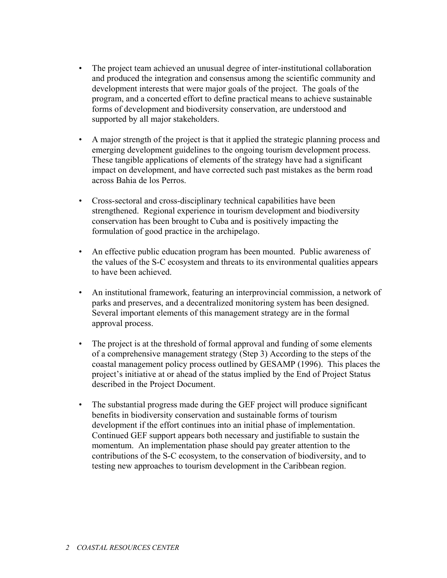- The project team achieved an unusual degree of inter-institutional collaboration and produced the integration and consensus among the scientific community and development interests that were major goals of the project. The goals of the program, and a concerted effort to define practical means to achieve sustainable forms of development and biodiversity conservation, are understood and supported by all major stakeholders.
- A major strength of the project is that it applied the strategic planning process and emerging development guidelines to the ongoing tourism development process. These tangible applications of elements of the strategy have had a significant impact on development, and have corrected such past mistakes as the berm road across Bahia de los Perros.
- Cross-sectoral and cross-disciplinary technical capabilities have been strengthened. Regional experience in tourism development and biodiversity conservation has been brought to Cuba and is positively impacting the formulation of good practice in the archipelago.
- An effective public education program has been mounted. Public awareness of the values of the S-C ecosystem and threats to its environmental qualities appears to have been achieved.
- An institutional framework, featuring an interprovincial commission, a network of parks and preserves, and a decentralized monitoring system has been designed. Several important elements of this management strategy are in the formal approval process.
- The project is at the threshold of formal approval and funding of some elements of a comprehensive management strategy (Step 3) According to the steps of the coastal management policy process outlined by GESAMP (1996). This places the project's initiative at or ahead of the status implied by the End of Project Status described in the Project Document.
- The substantial progress made during the GEF project will produce significant benefits in biodiversity conservation and sustainable forms of tourism development if the effort continues into an initial phase of implementation. Continued GEF support appears both necessary and justifiable to sustain the momentum. An implementation phase should pay greater attention to the contributions of the S-C ecosystem, to the conservation of biodiversity, and to testing new approaches to tourism development in the Caribbean region.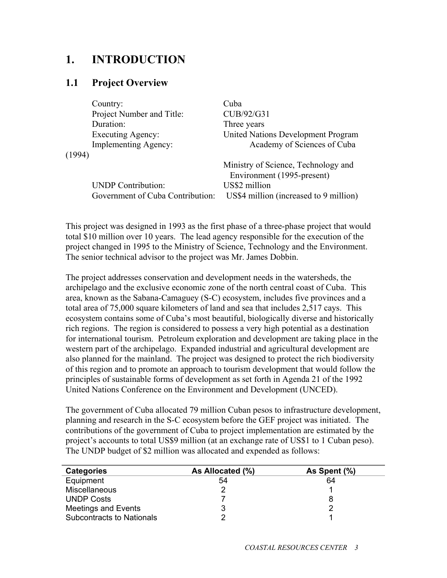## **1. INTRODUCTION**

#### **1.1 Project Overview**

|        | Country:                         | Cuba                                   |
|--------|----------------------------------|----------------------------------------|
|        | Project Number and Title:        | CUB/92/G31                             |
|        | Duration:                        | Three years                            |
|        | <b>Executing Agency:</b>         | United Nations Development Program     |
|        | <b>Implementing Agency:</b>      | Academy of Sciences of Cuba            |
| (1994) |                                  |                                        |
|        |                                  | Ministry of Science, Technology and    |
|        |                                  | Environment (1995-present)             |
|        | <b>UNDP</b> Contribution:        | US\$2 million                          |
|        | Government of Cuba Contribution: | US\$4 million (increased to 9 million) |
|        |                                  |                                        |

This project was designed in 1993 as the first phase of a three-phase project that would total \$10 million over 10 years. The lead agency responsible for the execution of the project changed in 1995 to the Ministry of Science, Technology and the Environment. The senior technical advisor to the project was Mr. James Dobbin.

The project addresses conservation and development needs in the watersheds, the archipelago and the exclusive economic zone of the north central coast of Cuba. This area, known as the Sabana-Camaguey (S-C) ecosystem, includes five provinces and a total area of 75,000 square kilometers of land and sea that includes 2,517 cays. This ecosystem contains some of Cuba's most beautiful, biologically diverse and historically rich regions. The region is considered to possess a very high potential as a destination for international tourism. Petroleum exploration and development are taking place in the western part of the archipelago. Expanded industrial and agricultural development are also planned for the mainland. The project was designed to protect the rich biodiversity of this region and to promote an approach to tourism development that would follow the principles of sustainable forms of development as set forth in Agenda 21 of the 1992 United Nations Conference on the Environment and Development (UNCED).

The government of Cuba allocated 79 million Cuban pesos to infrastructure development, planning and research in the S-C ecosystem before the GEF project was initiated. The contributions of the government of Cuba to project implementation are estimated by the project's accounts to total US\$9 million (at an exchange rate of US\$1 to 1 Cuban peso). The UNDP budget of \$2 million was allocated and expended as follows:

| <b>Categories</b>                | As Allocated (%) | As Spent (%) |
|----------------------------------|------------------|--------------|
| Equipment                        | 54               | 64           |
| <b>Miscellaneous</b>             |                  |              |
| <b>UNDP Costs</b>                |                  |              |
| Meetings and Events              |                  |              |
| <b>Subcontracts to Nationals</b> |                  |              |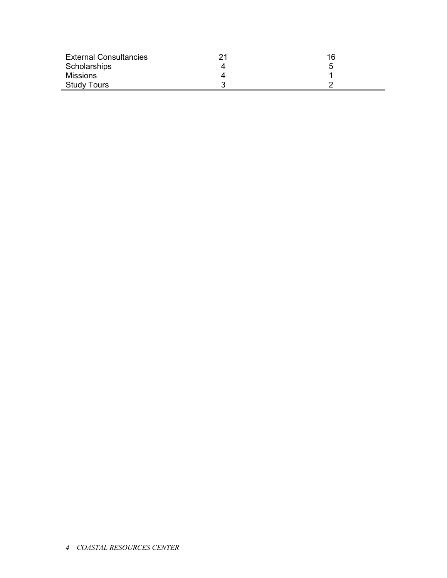| <b>External Consultancies</b> | 16 |
|-------------------------------|----|
| Scholarships                  |    |
| <b>Missions</b>               |    |
| <b>Study Tours</b>            |    |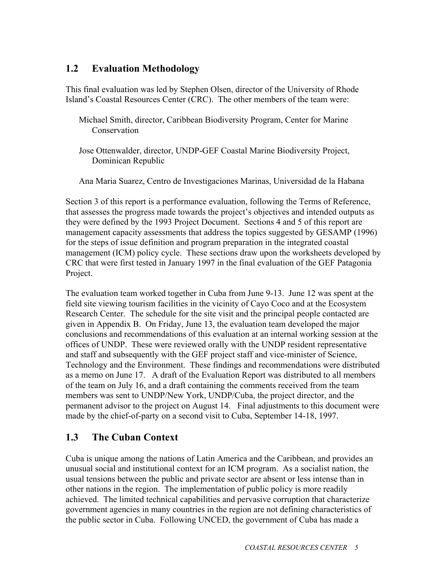#### **1.2 Evaluation Methodology**

This final evaluation was led by Stephen Olsen, director of the University of Rhode Island's Coastal Resources Center (CRC). The other members of the team were:

- Michael Smith, director, Caribbean Biodiversity Program, Center for Marine **Conservation**
- Jose Ottenwalder, director, UNDP-GEF Coastal Marine Biodiversity Project, Dominican Republic

Ana Maria Suarez, Centro de Investigaciones Marinas, Universidad de la Habana

Section 3 of this report is a performance evaluation, following the Terms of Reference, that assesses the progress made towards the project's objectives and intended outputs as they were defined by the 1993 Project Document. Sections 4 and 5 of this report are management capacity assessments that address the topics suggested by GESAMP (1996) for the steps of issue definition and program preparation in the integrated coastal management (ICM) policy cycle. These sections draw upon the worksheets developed by CRC that were first tested in January 1997 in the final evaluation of the GEF Patagonia Project.

The evaluation team worked together in Cuba from June 9-13. June 12 was spent at the field site viewing tourism facilities in the vicinity of Cayo Coco and at the Ecosystem Research Center. The schedule for the site visit and the principal people contacted are given in Appendix B. On Friday, June 13, the evaluation team developed the major conclusions and recommendations of this evaluation at an internal working session at the offices of UNDP. These were reviewed orally with the UNDP resident representative and staff and subsequently with the GEF project staff and vice-minister of Science, Technology and the Environment. These findings and recommendations were distributed as a memo on June 17. A draft of the Evaluation Report was distributed to all members of the team on July 16, and a draft containing the comments received from the team members was sent to UNDP/New York, UNDP/Cuba, the project director, and the permanent advisor to the project on August 14. Final adjustments to this document were made by the chief-of-party on a second visit to Cuba, September 14-18, 1997.

### **1.3 The Cuban Context**

Cuba is unique among the nations of Latin America and the Caribbean, and provides an unusual social and institutional context for an ICM program. As a socialist nation, the usual tensions between the public and private sector are absent or less intense than in other nations in the region. The implementation of public policy is more readily achieved. The limited technical capabilities and pervasive corruption that characterize government agencies in many countries in the region are not defining characteristics of the public sector in Cuba. Following UNCED, the government of Cuba has made a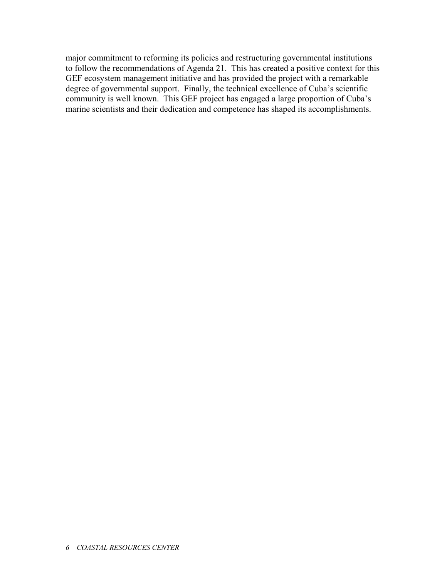major commitment to reforming its policies and restructuring governmental institutions to follow the recommendations of Agenda 21. This has created a positive context for this GEF ecosystem management initiative and has provided the project with a remarkable degree of governmental support. Finally, the technical excellence of Cuba's scientific community is well known. This GEF project has engaged a large proportion of Cuba's marine scientists and their dedication and competence has shaped its accomplishments.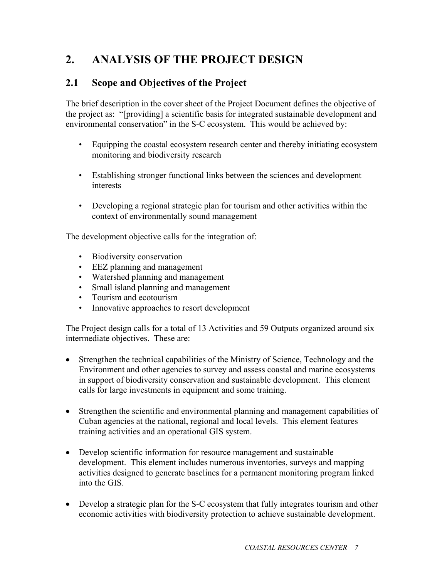# **2. ANALYSIS OF THE PROJECT DESIGN**

### **2.1 Scope and Objectives of the Project**

The brief description in the cover sheet of the Project Document defines the objective of the project as: "[providing] a scientific basis for integrated sustainable development and environmental conservation" in the S-C ecosystem. This would be achieved by:

- Equipping the coastal ecosystem research center and thereby initiating ecosystem monitoring and biodiversity research
- Establishing stronger functional links between the sciences and development interests
- Developing a regional strategic plan for tourism and other activities within the context of environmentally sound management

The development objective calls for the integration of:

- Biodiversity conservation
- EEZ planning and management
- Watershed planning and management
- Small island planning and management
- Tourism and ecotourism
- Innovative approaches to resort development

The Project design calls for a total of 13 Activities and 59 Outputs organized around six intermediate objectives. These are:

- Strengthen the technical capabilities of the Ministry of Science, Technology and the Environment and other agencies to survey and assess coastal and marine ecosystems in support of biodiversity conservation and sustainable development. This element calls for large investments in equipment and some training.
- Strengthen the scientific and environmental planning and management capabilities of Cuban agencies at the national, regional and local levels. This element features training activities and an operational GIS system.
- Develop scientific information for resource management and sustainable development. This element includes numerous inventories, surveys and mapping activities designed to generate baselines for a permanent monitoring program linked into the GIS.
- Develop a strategic plan for the S-C ecosystem that fully integrates tourism and other economic activities with biodiversity protection to achieve sustainable development.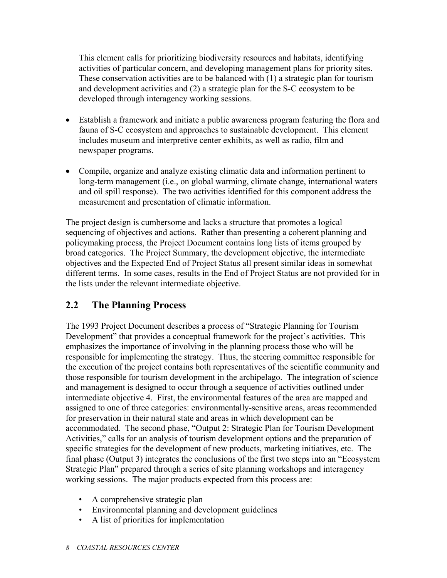This element calls for prioritizing biodiversity resources and habitats, identifying activities of particular concern, and developing management plans for priority sites. These conservation activities are to be balanced with (1) a strategic plan for tourism and development activities and (2) a strategic plan for the S-C ecosystem to be developed through interagency working sessions.

- Establish a framework and initiate a public awareness program featuring the flora and fauna of S-C ecosystem and approaches to sustainable development. This element includes museum and interpretive center exhibits, as well as radio, film and newspaper programs.
- Compile, organize and analyze existing climatic data and information pertinent to long-term management (i.e., on global warming, climate change, international waters and oil spill response). The two activities identified for this component address the measurement and presentation of climatic information.

The project design is cumbersome and lacks a structure that promotes a logical sequencing of objectives and actions. Rather than presenting a coherent planning and policymaking process, the Project Document contains long lists of items grouped by broad categories. The Project Summary, the development objective, the intermediate objectives and the Expected End of Project Status all present similar ideas in somewhat different terms. In some cases, results in the End of Project Status are not provided for in the lists under the relevant intermediate objective.

#### **2.2 The Planning Process**

The 1993 Project Document describes a process of "Strategic Planning for Tourism Development" that provides a conceptual framework for the project's activities. This emphasizes the importance of involving in the planning process those who will be responsible for implementing the strategy. Thus, the steering committee responsible for the execution of the project contains both representatives of the scientific community and those responsible for tourism development in the archipelago. The integration of science and management is designed to occur through a sequence of activities outlined under intermediate objective 4. First, the environmental features of the area are mapped and assigned to one of three categories: environmentally-sensitive areas, areas recommended for preservation in their natural state and areas in which development can be accommodated. The second phase, "Output 2: Strategic Plan for Tourism Development Activities," calls for an analysis of tourism development options and the preparation of specific strategies for the development of new products, marketing initiatives, etc. The final phase (Output 3) integrates the conclusions of the first two steps into an "Ecosystem Strategic Plan" prepared through a series of site planning workshops and interagency working sessions. The major products expected from this process are:

- A comprehensive strategic plan
- Environmental planning and development guidelines
- A list of priorities for implementation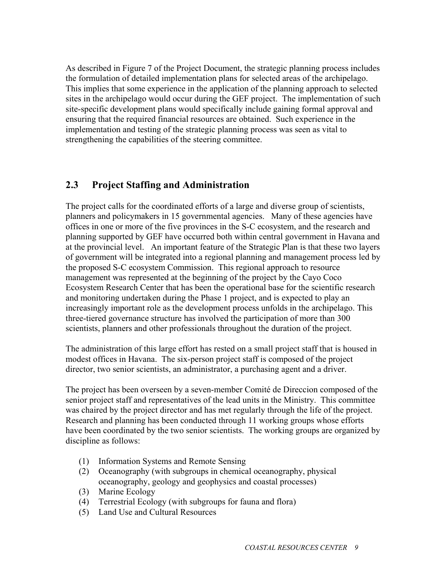As described in Figure 7 of the Project Document, the strategic planning process includes the formulation of detailed implementation plans for selected areas of the archipelago. This implies that some experience in the application of the planning approach to selected sites in the archipelago would occur during the GEF project. The implementation of such site-specific development plans would specifically include gaining formal approval and ensuring that the required financial resources are obtained. Such experience in the implementation and testing of the strategic planning process was seen as vital to strengthening the capabilities of the steering committee.

#### **2.3 Project Staffing and Administration**

The project calls for the coordinated efforts of a large and diverse group of scientists, planners and policymakers in 15 governmental agencies. Many of these agencies have offices in one or more of the five provinces in the S-C ecosystem, and the research and planning supported by GEF have occurred both within central government in Havana and at the provincial level. An important feature of the Strategic Plan is that these two layers of government will be integrated into a regional planning and management process led by the proposed S-C ecosystem Commission. This regional approach to resource management was represented at the beginning of the project by the Cayo Coco Ecosystem Research Center that has been the operational base for the scientific research and monitoring undertaken during the Phase 1 project, and is expected to play an increasingly important role as the development process unfolds in the archipelago. This three-tiered governance structure has involved the participation of more than 300 scientists, planners and other professionals throughout the duration of the project.

The administration of this large effort has rested on a small project staff that is housed in modest offices in Havana. The six-person project staff is composed of the project director, two senior scientists, an administrator, a purchasing agent and a driver.

The project has been overseen by a seven-member Comité de Direccion composed of the senior project staff and representatives of the lead units in the Ministry. This committee was chaired by the project director and has met regularly through the life of the project. Research and planning has been conducted through 11 working groups whose efforts have been coordinated by the two senior scientists. The working groups are organized by discipline as follows:

- (1) Information Systems and Remote Sensing
- (2) Oceanography (with subgroups in chemical oceanography, physical oceanography, geology and geophysics and coastal processes)
- (3) Marine Ecology
- (4) Terrestrial Ecology (with subgroups for fauna and flora)
- (5) Land Use and Cultural Resources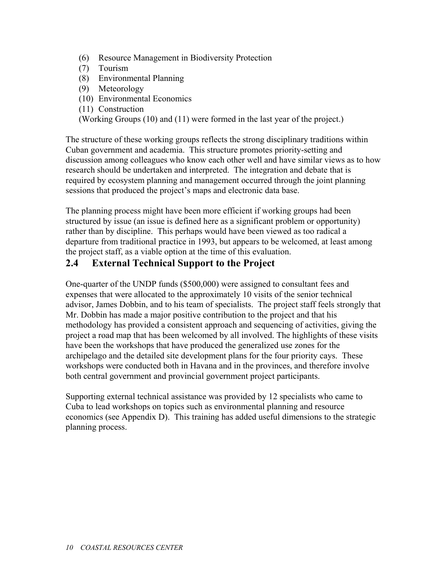- (6) Resource Management in Biodiversity Protection
- (7) Tourism
- (8) Environmental Planning
- (9) Meteorology
- (10) Environmental Economics
- (11) Construction

(Working Groups (10) and (11) were formed in the last year of the project.)

The structure of these working groups reflects the strong disciplinary traditions within Cuban government and academia. This structure promotes priority-setting and discussion among colleagues who know each other well and have similar views as to how research should be undertaken and interpreted. The integration and debate that is required by ecosystem planning and management occurred through the joint planning sessions that produced the project's maps and electronic data base.

The planning process might have been more efficient if working groups had been structured by issue (an issue is defined here as a significant problem or opportunity) rather than by discipline. This perhaps would have been viewed as too radical a departure from traditional practice in 1993, but appears to be welcomed, at least among the project staff, as a viable option at the time of this evaluation.

#### **2.4 External Technical Support to the Project**

One-quarter of the UNDP funds (\$500,000) were assigned to consultant fees and expenses that were allocated to the approximately 10 visits of the senior technical advisor, James Dobbin, and to his team of specialists. The project staff feels strongly that Mr. Dobbin has made a major positive contribution to the project and that his methodology has provided a consistent approach and sequencing of activities, giving the project a road map that has been welcomed by all involved. The highlights of these visits have been the workshops that have produced the generalized use zones for the archipelago and the detailed site development plans for the four priority cays. These workshops were conducted both in Havana and in the provinces, and therefore involve both central government and provincial government project participants.

Supporting external technical assistance was provided by 12 specialists who came to Cuba to lead workshops on topics such as environmental planning and resource economics (see Appendix D). This training has added useful dimensions to the strategic planning process.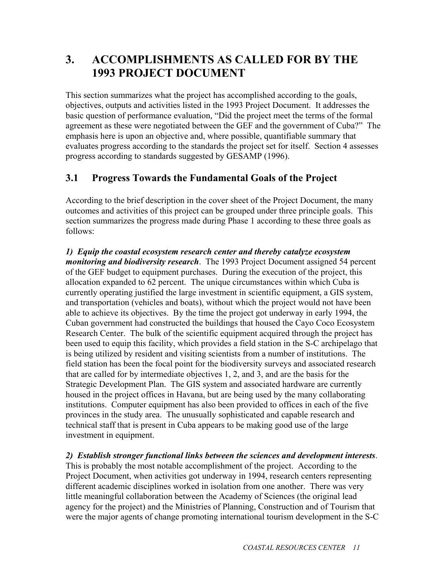# **3. ACCOMPLISHMENTS AS CALLED FOR BY THE 1993 PROJECT DOCUMENT**

This section summarizes what the project has accomplished according to the goals, objectives, outputs and activities listed in the 1993 Project Document. It addresses the basic question of performance evaluation, "Did the project meet the terms of the formal agreement as these were negotiated between the GEF and the government of Cuba?" The emphasis here is upon an objective and, where possible, quantifiable summary that evaluates progress according to the standards the project set for itself. Section 4 assesses progress according to standards suggested by GESAMP (1996).

## **3.1 Progress Towards the Fundamental Goals of the Project**

According to the brief description in the cover sheet of the Project Document, the many outcomes and activities of this project can be grouped under three principle goals. This section summarizes the progress made during Phase 1 according to these three goals as follows:

*1) Equip the coastal ecosystem research center and thereby catalyze ecosystem monitoring and biodiversity research*. The 1993 Project Document assigned 54 percent of the GEF budget to equipment purchases. During the execution of the project, this allocation expanded to 62 percent. The unique circumstances within which Cuba is currently operating justified the large investment in scientific equipment, a GIS system, and transportation (vehicles and boats), without which the project would not have been able to achieve its objectives. By the time the project got underway in early 1994, the Cuban government had constructed the buildings that housed the Cayo Coco Ecosystem Research Center. The bulk of the scientific equipment acquired through the project has been used to equip this facility, which provides a field station in the S-C archipelago that is being utilized by resident and visiting scientists from a number of institutions. The field station has been the focal point for the biodiversity surveys and associated research that are called for by intermediate objectives 1, 2, and 3, and are the basis for the Strategic Development Plan. The GIS system and associated hardware are currently housed in the project offices in Havana, but are being used by the many collaborating institutions. Computer equipment has also been provided to offices in each of the five provinces in the study area. The unusually sophisticated and capable research and technical staff that is present in Cuba appears to be making good use of the large investment in equipment.

*2) Establish stronger functional links between the sciences and development interests*. This is probably the most notable accomplishment of the project. According to the Project Document, when activities got underway in 1994, research centers representing different academic disciplines worked in isolation from one another. There was very little meaningful collaboration between the Academy of Sciences (the original lead agency for the project) and the Ministries of Planning, Construction and of Tourism that were the major agents of change promoting international tourism development in the S-C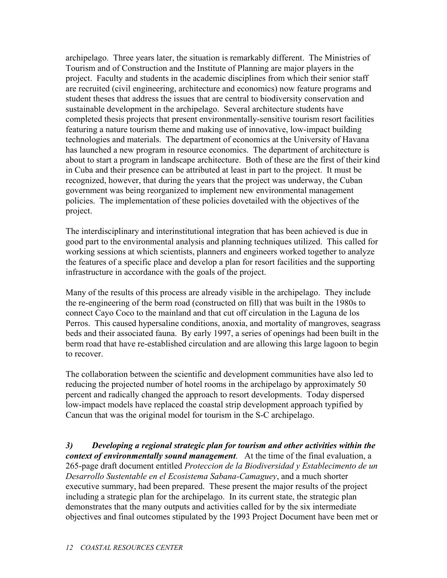archipelago. Three years later, the situation is remarkably different. The Ministries of Tourism and of Construction and the Institute of Planning are major players in the project. Faculty and students in the academic disciplines from which their senior staff are recruited (civil engineering, architecture and economics) now feature programs and student theses that address the issues that are central to biodiversity conservation and sustainable development in the archipelago. Several architecture students have completed thesis projects that present environmentally-sensitive tourism resort facilities featuring a nature tourism theme and making use of innovative, low-impact building technologies and materials. The department of economics at the University of Havana has launched a new program in resource economics. The department of architecture is about to start a program in landscape architecture. Both of these are the first of their kind in Cuba and their presence can be attributed at least in part to the project. It must be recognized, however, that during the years that the project was underway, the Cuban government was being reorganized to implement new environmental management policies. The implementation of these policies dovetailed with the objectives of the project.

The interdisciplinary and interinstitutional integration that has been achieved is due in good part to the environmental analysis and planning techniques utilized. This called for working sessions at which scientists, planners and engineers worked together to analyze the features of a specific place and develop a plan for resort facilities and the supporting infrastructure in accordance with the goals of the project.

Many of the results of this process are already visible in the archipelago. They include the re-engineering of the berm road (constructed on fill) that was built in the 1980s to connect Cayo Coco to the mainland and that cut off circulation in the Laguna de los Perros. This caused hypersaline conditions, anoxia, and mortality of mangroves, seagrass beds and their associated fauna. By early 1997, a series of openings had been built in the berm road that have re-established circulation and are allowing this large lagoon to begin to recover.

The collaboration between the scientific and development communities have also led to reducing the projected number of hotel rooms in the archipelago by approximately 50 percent and radically changed the approach to resort developments. Today dispersed low-impact models have replaced the coastal strip development approach typified by Cancun that was the original model for tourism in the S-C archipelago.

*3) Developing a regional strategic plan for tourism and other activities within the context of environmentally sound management*.At the time of the final evaluation, a 265-page draft document entitled *Proteccion de la Biodiversidad y Establecimento de un Desarrollo Sustentable en el Ecosistema Sabana-Camaguey*, and a much shorter executive summary, had been prepared. These present the major results of the project including a strategic plan for the archipelago. In its current state, the strategic plan demonstrates that the many outputs and activities called for by the six intermediate objectives and final outcomes stipulated by the 1993 Project Document have been met or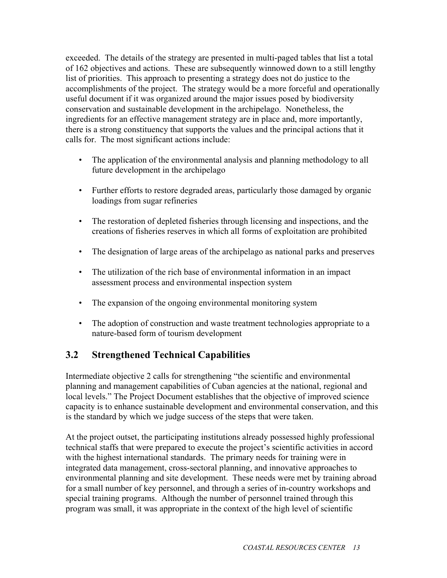exceeded. The details of the strategy are presented in multi-paged tables that list a total of 162 objectives and actions. These are subsequently winnowed down to a still lengthy list of priorities. This approach to presenting a strategy does not do justice to the accomplishments of the project. The strategy would be a more forceful and operationally useful document if it was organized around the major issues posed by biodiversity conservation and sustainable development in the archipelago. Nonetheless, the ingredients for an effective management strategy are in place and, more importantly, there is a strong constituency that supports the values and the principal actions that it calls for. The most significant actions include:

- The application of the environmental analysis and planning methodology to all future development in the archipelago
- Further efforts to restore degraded areas, particularly those damaged by organic loadings from sugar refineries
- The restoration of depleted fisheries through licensing and inspections, and the creations of fisheries reserves in which all forms of exploitation are prohibited
- The designation of large areas of the archipelago as national parks and preserves
- The utilization of the rich base of environmental information in an impact assessment process and environmental inspection system
- The expansion of the ongoing environmental monitoring system
- The adoption of construction and waste treatment technologies appropriate to a nature-based form of tourism development

### **3.2 Strengthened Technical Capabilities**

Intermediate objective 2 calls for strengthening "the scientific and environmental planning and management capabilities of Cuban agencies at the national, regional and local levels." The Project Document establishes that the objective of improved science capacity is to enhance sustainable development and environmental conservation, and this is the standard by which we judge success of the steps that were taken.

At the project outset, the participating institutions already possessed highly professional technical staffs that were prepared to execute the project's scientific activities in accord with the highest international standards. The primary needs for training were in integrated data management, cross-sectoral planning, and innovative approaches to environmental planning and site development. These needs were met by training abroad for a small number of key personnel, and through a series of in-country workshops and special training programs. Although the number of personnel trained through this program was small, it was appropriate in the context of the high level of scientific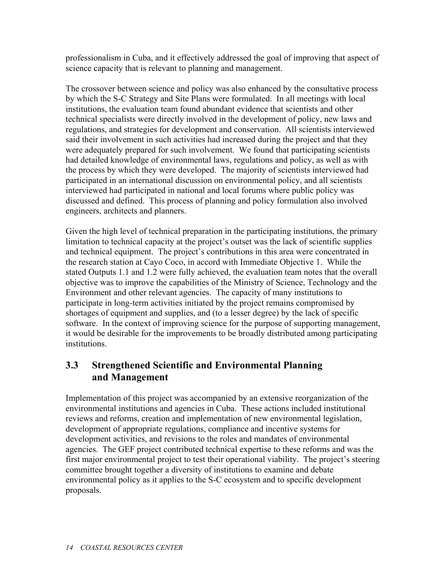professionalism in Cuba, and it effectively addressed the goal of improving that aspect of science capacity that is relevant to planning and management.

The crossover between science and policy was also enhanced by the consultative process by which the S-C Strategy and Site Plans were formulated. In all meetings with local institutions, the evaluation team found abundant evidence that scientists and other technical specialists were directly involved in the development of policy, new laws and regulations, and strategies for development and conservation. All scientists interviewed said their involvement in such activities had increased during the project and that they were adequately prepared for such involvement. We found that participating scientists had detailed knowledge of environmental laws, regulations and policy, as well as with the process by which they were developed. The majority of scientists interviewed had participated in an international discussion on environmental policy, and all scientists interviewed had participated in national and local forums where public policy was discussed and defined. This process of planning and policy formulation also involved engineers, architects and planners.

Given the high level of technical preparation in the participating institutions, the primary limitation to technical capacity at the project's outset was the lack of scientific supplies and technical equipment. The project's contributions in this area were concentrated in the research station at Cayo Coco, in accord with Immediate Objective 1. While the stated Outputs 1.1 and 1.2 were fully achieved, the evaluation team notes that the overall objective was to improve the capabilities of the Ministry of Science, Technology and the Environment and other relevant agencies. The capacity of many institutions to participate in long-term activities initiated by the project remains compromised by shortages of equipment and supplies, and (to a lesser degree) by the lack of specific software. In the context of improving science for the purpose of supporting management, it would be desirable for the improvements to be broadly distributed among participating institutions.

## **3.3 Strengthened Scientific and Environmental Planning and Management**

Implementation of this project was accompanied by an extensive reorganization of the environmental institutions and agencies in Cuba. These actions included institutional reviews and reforms, creation and implementation of new environmental legislation, development of appropriate regulations, compliance and incentive systems for development activities, and revisions to the roles and mandates of environmental agencies. The GEF project contributed technical expertise to these reforms and was the first major environmental project to test their operational viability. The project's steering committee brought together a diversity of institutions to examine and debate environmental policy as it applies to the S-C ecosystem and to specific development proposals.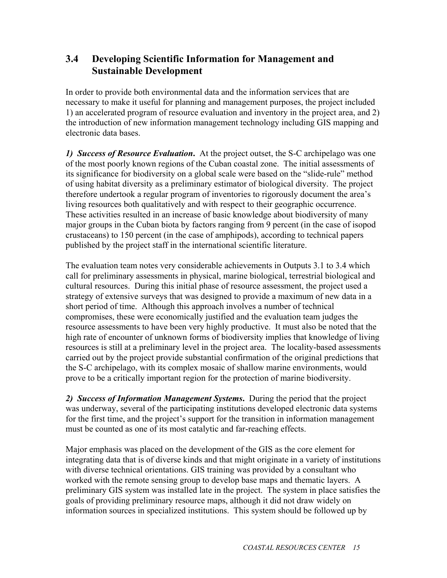### **3.4 Developing Scientific Information for Management and Sustainable Development**

In order to provide both environmental data and the information services that are necessary to make it useful for planning and management purposes, the project included 1) an accelerated program of resource evaluation and inventory in the project area, and 2) the introduction of new information management technology including GIS mapping and electronic data bases.

*1) Success of Resource Evaluation***.** At the project outset, the S-C archipelago was one of the most poorly known regions of the Cuban coastal zone. The initial assessments of its significance for biodiversity on a global scale were based on the "slide-rule" method of using habitat diversity as a preliminary estimator of biological diversity. The project therefore undertook a regular program of inventories to rigorously document the area's living resources both qualitatively and with respect to their geographic occurrence. These activities resulted in an increase of basic knowledge about biodiversity of many major groups in the Cuban biota by factors ranging from 9 percent (in the case of isopod crustaceans) to 150 percent (in the case of amphipods), according to technical papers published by the project staff in the international scientific literature.

The evaluation team notes very considerable achievements in Outputs 3.1 to 3.4 which call for preliminary assessments in physical, marine biological, terrestrial biological and cultural resources. During this initial phase of resource assessment, the project used a strategy of extensive surveys that was designed to provide a maximum of new data in a short period of time. Although this approach involves a number of technical compromises, these were economically justified and the evaluation team judges the resource assessments to have been very highly productive. It must also be noted that the high rate of encounter of unknown forms of biodiversity implies that knowledge of living resources is still at a preliminary level in the project area. The locality-based assessments carried out by the project provide substantial confirmation of the original predictions that the S-C archipelago, with its complex mosaic of shallow marine environments, would prove to be a critically important region for the protection of marine biodiversity.

*2) Success of Information Management Systems***.** During the period that the project was underway, several of the participating institutions developed electronic data systems for the first time, and the project's support for the transition in information management must be counted as one of its most catalytic and far-reaching effects.

Major emphasis was placed on the development of the GIS as the core element for integrating data that is of diverse kinds and that might originate in a variety of institutions with diverse technical orientations. GIS training was provided by a consultant who worked with the remote sensing group to develop base maps and thematic layers. A preliminary GIS system was installed late in the project. The system in place satisfies the goals of providing preliminary resource maps, although it did not draw widely on information sources in specialized institutions. This system should be followed up by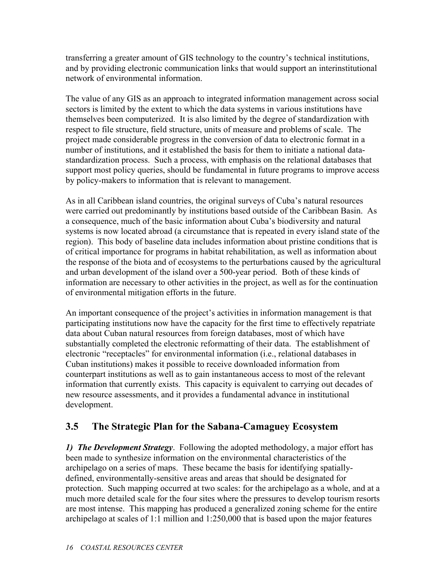transferring a greater amount of GIS technology to the country's technical institutions, and by providing electronic communication links that would support an interinstitutional network of environmental information.

The value of any GIS as an approach to integrated information management across social sectors is limited by the extent to which the data systems in various institutions have themselves been computerized. It is also limited by the degree of standardization with respect to file structure, field structure, units of measure and problems of scale. The project made considerable progress in the conversion of data to electronic format in a number of institutions, and it established the basis for them to initiate a national datastandardization process. Such a process, with emphasis on the relational databases that support most policy queries, should be fundamental in future programs to improve access by policy-makers to information that is relevant to management.

As in all Caribbean island countries, the original surveys of Cuba's natural resources were carried out predominantly by institutions based outside of the Caribbean Basin. As a consequence, much of the basic information about Cuba's biodiversity and natural systems is now located abroad (a circumstance that is repeated in every island state of the region). This body of baseline data includes information about pristine conditions that is of critical importance for programs in habitat rehabilitation, as well as information about the response of the biota and of ecosystems to the perturbations caused by the agricultural and urban development of the island over a 500-year period. Both of these kinds of information are necessary to other activities in the project, as well as for the continuation of environmental mitigation efforts in the future.

An important consequence of the project's activities in information management is that participating institutions now have the capacity for the first time to effectively repatriate data about Cuban natural resources from foreign databases, most of which have substantially completed the electronic reformatting of their data. The establishment of electronic "receptacles" for environmental information (i.e., relational databases in Cuban institutions) makes it possible to receive downloaded information from counterpart institutions as well as to gain instantaneous access to most of the relevant information that currently exists. This capacity is equivalent to carrying out decades of new resource assessments, and it provides a fundamental advance in institutional development.

### **3.5 The Strategic Plan for the Sabana-Camaguey Ecosystem**

*1) The Development Strategy*. Following the adopted methodology, a major effort has been made to synthesize information on the environmental characteristics of the archipelago on a series of maps. These became the basis for identifying spatiallydefined, environmentally-sensitive areas and areas that should be designated for protection. Such mapping occurred at two scales: for the archipelago as a whole, and at a much more detailed scale for the four sites where the pressures to develop tourism resorts are most intense. This mapping has produced a generalized zoning scheme for the entire archipelago at scales of 1:1 million and 1:250,000 that is based upon the major features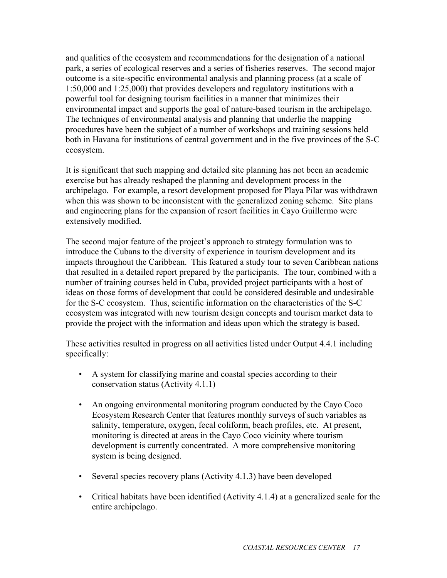and qualities of the ecosystem and recommendations for the designation of a national park, a series of ecological reserves and a series of fisheries reserves. The second major outcome is a site-specific environmental analysis and planning process (at a scale of 1:50,000 and 1:25,000) that provides developers and regulatory institutions with a powerful tool for designing tourism facilities in a manner that minimizes their environmental impact and supports the goal of nature-based tourism in the archipelago. The techniques of environmental analysis and planning that underlie the mapping procedures have been the subject of a number of workshops and training sessions held both in Havana for institutions of central government and in the five provinces of the S-C ecosystem.

It is significant that such mapping and detailed site planning has not been an academic exercise but has already reshaped the planning and development process in the archipelago. For example, a resort development proposed for Playa Pilar was withdrawn when this was shown to be inconsistent with the generalized zoning scheme. Site plans and engineering plans for the expansion of resort facilities in Cayo Guillermo were extensively modified.

The second major feature of the project's approach to strategy formulation was to introduce the Cubans to the diversity of experience in tourism development and its impacts throughout the Caribbean. This featured a study tour to seven Caribbean nations that resulted in a detailed report prepared by the participants. The tour, combined with a number of training courses held in Cuba, provided project participants with a host of ideas on those forms of development that could be considered desirable and undesirable for the S-C ecosystem. Thus, scientific information on the characteristics of the S-C ecosystem was integrated with new tourism design concepts and tourism market data to provide the project with the information and ideas upon which the strategy is based.

These activities resulted in progress on all activities listed under Output 4.4.1 including specifically:

- A system for classifying marine and coastal species according to their conservation status (Activity 4.1.1)
- An ongoing environmental monitoring program conducted by the Cayo Coco Ecosystem Research Center that features monthly surveys of such variables as salinity, temperature, oxygen, fecal coliform, beach profiles, etc. At present, monitoring is directed at areas in the Cayo Coco vicinity where tourism development is currently concentrated. A more comprehensive monitoring system is being designed.
- Several species recovery plans (Activity 4.1.3) have been developed
- Critical habitats have been identified (Activity 4.1.4) at a generalized scale for the entire archipelago.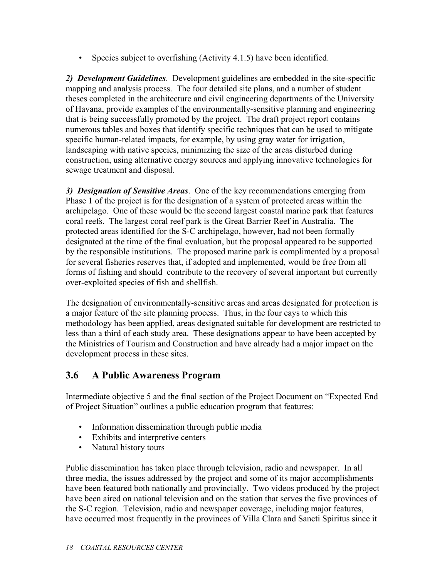• Species subject to overfishing (Activity 4.1.5) have been identified.

*2) Development Guidelines*. Development guidelines are embedded in the site-specific mapping and analysis process. The four detailed site plans, and a number of student theses completed in the architecture and civil engineering departments of the University of Havana, provide examples of the environmentally-sensitive planning and engineering that is being successfully promoted by the project. The draft project report contains numerous tables and boxes that identify specific techniques that can be used to mitigate specific human-related impacts, for example, by using gray water for irrigation, landscaping with native species, minimizing the size of the areas disturbed during construction, using alternative energy sources and applying innovative technologies for sewage treatment and disposal.

*3) Designation of Sensitive Areas*. One of the key recommendations emerging from Phase 1 of the project is for the designation of a system of protected areas within the archipelago. One of these would be the second largest coastal marine park that features coral reefs. The largest coral reef park is the Great Barrier Reef in Australia. The protected areas identified for the S-C archipelago, however, had not been formally designated at the time of the final evaluation, but the proposal appeared to be supported by the responsible institutions. The proposed marine park is complimented by a proposal for several fisheries reserves that, if adopted and implemented, would be free from all forms of fishing and should contribute to the recovery of several important but currently over-exploited species of fish and shellfish.

The designation of environmentally-sensitive areas and areas designated for protection is a major feature of the site planning process. Thus, in the four cays to which this methodology has been applied, areas designated suitable for development are restricted to less than a third of each study area. These designations appear to have been accepted by the Ministries of Tourism and Construction and have already had a major impact on the development process in these sites.

#### **3.6 A Public Awareness Program**

Intermediate objective 5 and the final section of the Project Document on "Expected End of Project Situation" outlines a public education program that features:

- Information dissemination through public media
- Exhibits and interpretive centers
- Natural history tours

Public dissemination has taken place through television, radio and newspaper. In all three media, the issues addressed by the project and some of its major accomplishments have been featured both nationally and provincially. Two videos produced by the project have been aired on national television and on the station that serves the five provinces of the S-C region. Television, radio and newspaper coverage, including major features, have occurred most frequently in the provinces of Villa Clara and Sancti Spiritus since it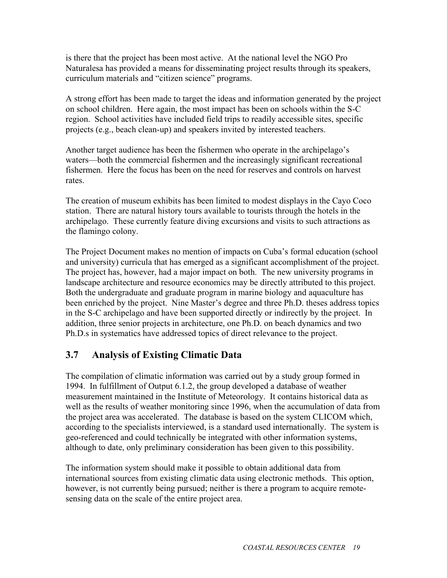is there that the project has been most active. At the national level the NGO Pro Naturalesa has provided a means for disseminating project results through its speakers, curriculum materials and "citizen science" programs.

A strong effort has been made to target the ideas and information generated by the project on school children. Here again, the most impact has been on schools within the S-C region. School activities have included field trips to readily accessible sites, specific projects (e.g., beach clean-up) and speakers invited by interested teachers.

Another target audience has been the fishermen who operate in the archipelago's waters—both the commercial fishermen and the increasingly significant recreational fishermen. Here the focus has been on the need for reserves and controls on harvest rates.

The creation of museum exhibits has been limited to modest displays in the Cayo Coco station. There are natural history tours available to tourists through the hotels in the archipelago. These currently feature diving excursions and visits to such attractions as the flamingo colony.

The Project Document makes no mention of impacts on Cuba's formal education (school and university) curricula that has emerged as a significant accomplishment of the project. The project has, however, had a major impact on both. The new university programs in landscape architecture and resource economics may be directly attributed to this project. Both the undergraduate and graduate program in marine biology and aquaculture has been enriched by the project. Nine Master's degree and three Ph.D. theses address topics in the S-C archipelago and have been supported directly or indirectly by the project. In addition, three senior projects in architecture, one Ph.D. on beach dynamics and two Ph.D.s in systematics have addressed topics of direct relevance to the project.

### **3.7 Analysis of Existing Climatic Data**

The compilation of climatic information was carried out by a study group formed in 1994. In fulfillment of Output 6.1.2, the group developed a database of weather measurement maintained in the Institute of Meteorology. It contains historical data as well as the results of weather monitoring since 1996, when the accumulation of data from the project area was accelerated. The database is based on the system CLICOM which, according to the specialists interviewed, is a standard used internationally. The system is geo-referenced and could technically be integrated with other information systems, although to date, only preliminary consideration has been given to this possibility.

The information system should make it possible to obtain additional data from international sources from existing climatic data using electronic methods. This option, however, is not currently being pursued; neither is there a program to acquire remotesensing data on the scale of the entire project area.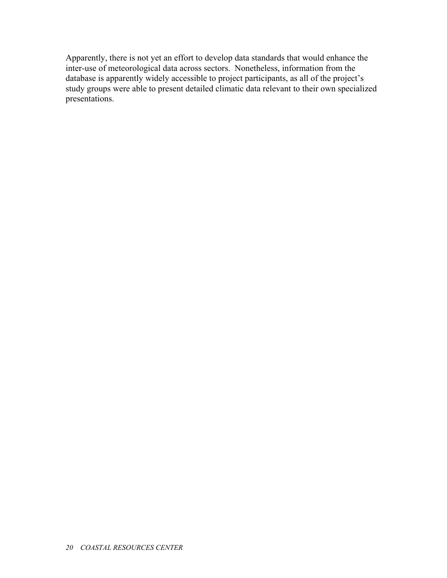Apparently, there is not yet an effort to develop data standards that would enhance the inter-use of meteorological data across sectors. Nonetheless, information from the database is apparently widely accessible to project participants, as all of the project's study groups were able to present detailed climatic data relevant to their own specialized presentations.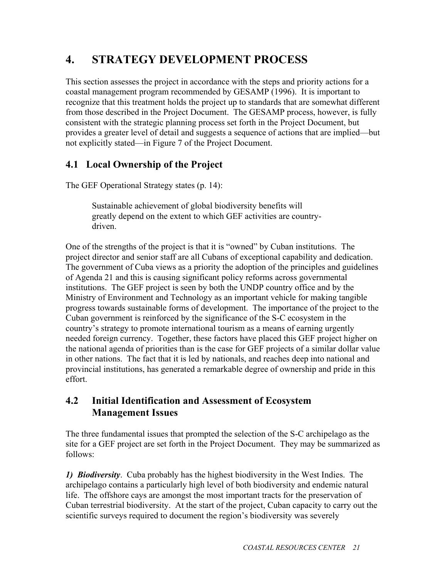# **4. STRATEGY DEVELOPMENT PROCESS**

This section assesses the project in accordance with the steps and priority actions for a coastal management program recommended by GESAMP (1996). It is important to recognize that this treatment holds the project up to standards that are somewhat different from those described in the Project Document. The GESAMP process, however, is fully consistent with the strategic planning process set forth in the Project Document, but provides a greater level of detail and suggests a sequence of actions that are implied—but not explicitly stated—in Figure 7 of the Project Document.

## **4.1 Local Ownership of the Project**

The GEF Operational Strategy states (p. 14):

Sustainable achievement of global biodiversity benefits will greatly depend on the extent to which GEF activities are countrydriven.

One of the strengths of the project is that it is "owned" by Cuban institutions. The project director and senior staff are all Cubans of exceptional capability and dedication. The government of Cuba views as a priority the adoption of the principles and guidelines of Agenda 21 and this is causing significant policy reforms across governmental institutions. The GEF project is seen by both the UNDP country office and by the Ministry of Environment and Technology as an important vehicle for making tangible progress towards sustainable forms of development. The importance of the project to the Cuban government is reinforced by the significance of the S-C ecosystem in the country's strategy to promote international tourism as a means of earning urgently needed foreign currency. Together, these factors have placed this GEF project higher on the national agenda of priorities than is the case for GEF projects of a similar dollar value in other nations. The fact that it is led by nationals, and reaches deep into national and provincial institutions, has generated a remarkable degree of ownership and pride in this effort.

### **4.2 Initial Identification and Assessment of Ecosystem Management Issues**

The three fundamental issues that prompted the selection of the S-C archipelago as the site for a GEF project are set forth in the Project Document. They may be summarized as follows:

*1) Biodiversity*. Cuba probably has the highest biodiversity in the West Indies. The archipelago contains a particularly high level of both biodiversity and endemic natural life. The offshore cays are amongst the most important tracts for the preservation of Cuban terrestrial biodiversity. At the start of the project, Cuban capacity to carry out the scientific surveys required to document the region's biodiversity was severely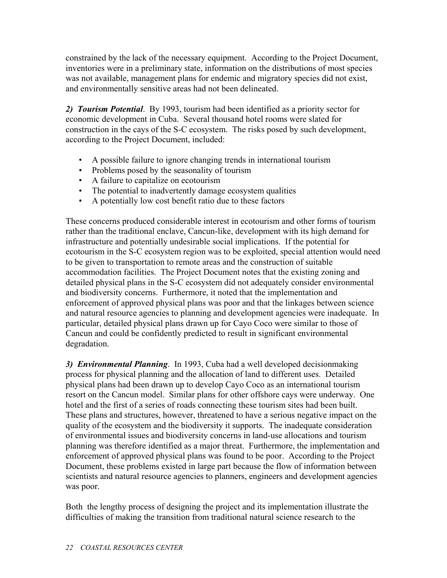constrained by the lack of the necessary equipment. According to the Project Document, inventories were in a preliminary state, information on the distributions of most species was not available, management plans for endemic and migratory species did not exist, and environmentally sensitive areas had not been delineated.

*2) Tourism Potential*. By 1993, tourism had been identified as a priority sector for economic development in Cuba. Several thousand hotel rooms were slated for construction in the cays of the S-C ecosystem. The risks posed by such development, according to the Project Document, included:

- A possible failure to ignore changing trends in international tourism
- Problems posed by the seasonality of tourism
- A failure to capitalize on ecotourism
- The potential to inadvertently damage ecosystem qualities
- A potentially low cost benefit ratio due to these factors

These concerns produced considerable interest in ecotourism and other forms of tourism rather than the traditional enclave, Cancun-like, development with its high demand for infrastructure and potentially undesirable social implications. If the potential for ecotourism in the S-C ecosystem region was to be exploited, special attention would need to be given to transportation to remote areas and the construction of suitable accommodation facilities. The Project Document notes that the existing zoning and detailed physical plans in the S-C ecosystem did not adequately consider environmental and biodiversity concerns. Furthermore, it noted that the implementation and enforcement of approved physical plans was poor and that the linkages between science and natural resource agencies to planning and development agencies were inadequate. In particular, detailed physical plans drawn up for Cayo Coco were similar to those of Cancun and could be confidently predicted to result in significant environmental degradation.

*3) Environmental Planning*. In 1993, Cuba had a well developed decisionmaking process for physical planning and the allocation of land to different uses. Detailed physical plans had been drawn up to develop Cayo Coco as an international tourism resort on the Cancun model. Similar plans for other offshore cays were underway. One hotel and the first of a series of roads connecting these tourism sites had been built. These plans and structures, however, threatened to have a serious negative impact on the quality of the ecosystem and the biodiversity it supports. The inadequate consideration of environmental issues and biodiversity concerns in land-use allocations and tourism planning was therefore identified as a major threat. Furthermore, the implementation and enforcement of approved physical plans was found to be poor. According to the Project Document, these problems existed in large part because the flow of information between scientists and natural resource agencies to planners, engineers and development agencies was poor.

Both the lengthy process of designing the project and its implementation illustrate the difficulties of making the transition from traditional natural science research to the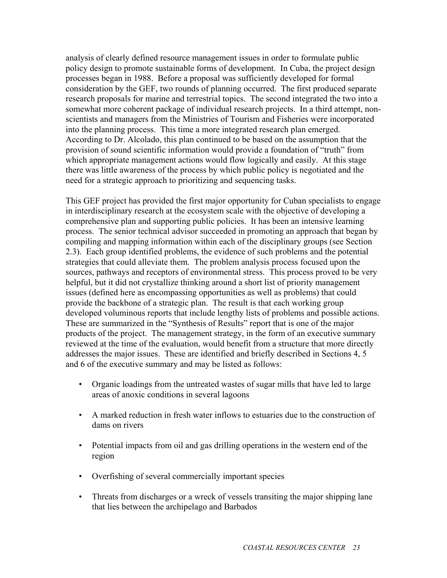analysis of clearly defined resource management issues in order to formulate public policy design to promote sustainable forms of development. In Cuba, the project design processes began in 1988. Before a proposal was sufficiently developed for formal consideration by the GEF, two rounds of planning occurred. The first produced separate research proposals for marine and terrestrial topics. The second integrated the two into a somewhat more coherent package of individual research projects. In a third attempt, nonscientists and managers from the Ministries of Tourism and Fisheries were incorporated into the planning process. This time a more integrated research plan emerged. According to Dr. Alcolado, this plan continued to be based on the assumption that the provision of sound scientific information would provide a foundation of "truth" from which appropriate management actions would flow logically and easily. At this stage there was little awareness of the process by which public policy is negotiated and the need for a strategic approach to prioritizing and sequencing tasks.

This GEF project has provided the first major opportunity for Cuban specialists to engage in interdisciplinary research at the ecosystem scale with the objective of developing a comprehensive plan and supporting public policies. It has been an intensive learning process. The senior technical advisor succeeded in promoting an approach that began by compiling and mapping information within each of the disciplinary groups (see Section 2.3). Each group identified problems, the evidence of such problems and the potential strategies that could alleviate them. The problem analysis process focused upon the sources, pathways and receptors of environmental stress. This process proved to be very helpful, but it did not crystallize thinking around a short list of priority management issues (defined here as encompassing opportunities as well as problems) that could provide the backbone of a strategic plan. The result is that each working group developed voluminous reports that include lengthy lists of problems and possible actions. These are summarized in the "Synthesis of Results" report that is one of the major products of the project. The management strategy, in the form of an executive summary reviewed at the time of the evaluation, would benefit from a structure that more directly addresses the major issues. These are identified and briefly described in Sections 4, 5 and 6 of the executive summary and may be listed as follows:

- Organic loadings from the untreated wastes of sugar mills that have led to large areas of anoxic conditions in several lagoons
- A marked reduction in fresh water inflows to estuaries due to the construction of dams on rivers
- Potential impacts from oil and gas drilling operations in the western end of the region
- Overfishing of several commercially important species
- Threats from discharges or a wreck of vessels transiting the major shipping lane that lies between the archipelago and Barbados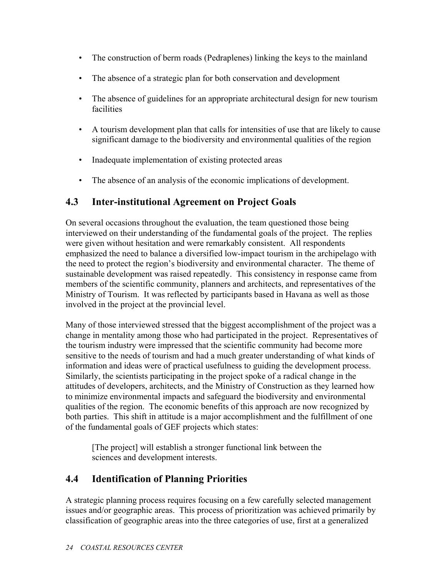- The construction of berm roads (Pedraplenes) linking the keys to the mainland
- The absence of a strategic plan for both conservation and development
- The absence of guidelines for an appropriate architectural design for new tourism facilities
- A tourism development plan that calls for intensities of use that are likely to cause significant damage to the biodiversity and environmental qualities of the region
- Inadequate implementation of existing protected areas
- The absence of an analysis of the economic implications of development.

### **4.3 Inter-institutional Agreement on Project Goals**

On several occasions throughout the evaluation, the team questioned those being interviewed on their understanding of the fundamental goals of the project. The replies were given without hesitation and were remarkably consistent. All respondents emphasized the need to balance a diversified low-impact tourism in the archipelago with the need to protect the region's biodiversity and environmental character. The theme of sustainable development was raised repeatedly. This consistency in response came from members of the scientific community, planners and architects, and representatives of the Ministry of Tourism. It was reflected by participants based in Havana as well as those involved in the project at the provincial level.

Many of those interviewed stressed that the biggest accomplishment of the project was a change in mentality among those who had participated in the project. Representatives of the tourism industry were impressed that the scientific community had become more sensitive to the needs of tourism and had a much greater understanding of what kinds of information and ideas were of practical usefulness to guiding the development process. Similarly, the scientists participating in the project spoke of a radical change in the attitudes of developers, architects, and the Ministry of Construction as they learned how to minimize environmental impacts and safeguard the biodiversity and environmental qualities of the region. The economic benefits of this approach are now recognized by both parties. This shift in attitude is a major accomplishment and the fulfillment of one of the fundamental goals of GEF projects which states:

[The project] will establish a stronger functional link between the sciences and development interests.

### **4.4 Identification of Planning Priorities**

A strategic planning process requires focusing on a few carefully selected management issues and/or geographic areas. This process of prioritization was achieved primarily by classification of geographic areas into the three categories of use, first at a generalized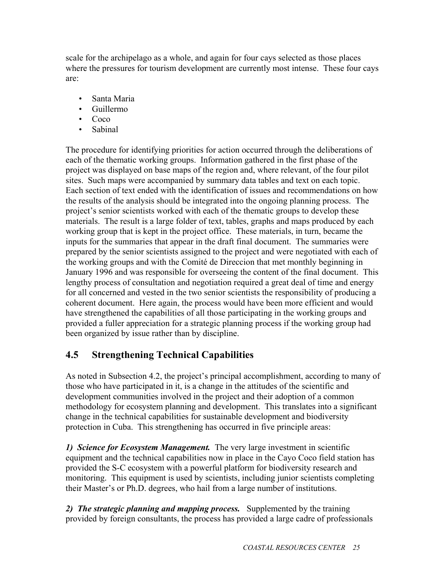scale for the archipelago as a whole, and again for four cays selected as those places where the pressures for tourism development are currently most intense. These four cays are:

- Santa Maria
- Guillermo
- Coco
- Sabinal

The procedure for identifying priorities for action occurred through the deliberations of each of the thematic working groups. Information gathered in the first phase of the project was displayed on base maps of the region and, where relevant, of the four pilot sites. Such maps were accompanied by summary data tables and text on each topic. Each section of text ended with the identification of issues and recommendations on how the results of the analysis should be integrated into the ongoing planning process. The project's senior scientists worked with each of the thematic groups to develop these materials. The result is a large folder of text, tables, graphs and maps produced by each working group that is kept in the project office. These materials, in turn, became the inputs for the summaries that appear in the draft final document. The summaries were prepared by the senior scientists assigned to the project and were negotiated with each of the working groups and with the Comité de Direccion that met monthly beginning in January 1996 and was responsible for overseeing the content of the final document. This lengthy process of consultation and negotiation required a great deal of time and energy for all concerned and vested in the two senior scientists the responsibility of producing a coherent document. Here again, the process would have been more efficient and would have strengthened the capabilities of all those participating in the working groups and provided a fuller appreciation for a strategic planning process if the working group had been organized by issue rather than by discipline.

### **4.5 Strengthening Technical Capabilities**

As noted in Subsection 4.2, the project's principal accomplishment, according to many of those who have participated in it, is a change in the attitudes of the scientific and development communities involved in the project and their adoption of a common methodology for ecosystem planning and development. This translates into a significant change in the technical capabilities for sustainable development and biodiversity protection in Cuba. This strengthening has occurred in five principle areas:

*1) Science for Ecosystem Management.* The very large investment in scientific equipment and the technical capabilities now in place in the Cayo Coco field station has provided the S-C ecosystem with a powerful platform for biodiversity research and monitoring. This equipment is used by scientists, including junior scientists completing their Master's or Ph.D. degrees, who hail from a large number of institutions.

*2) The strategic planning and mapping process.* Supplemented by the training provided by foreign consultants, the process has provided a large cadre of professionals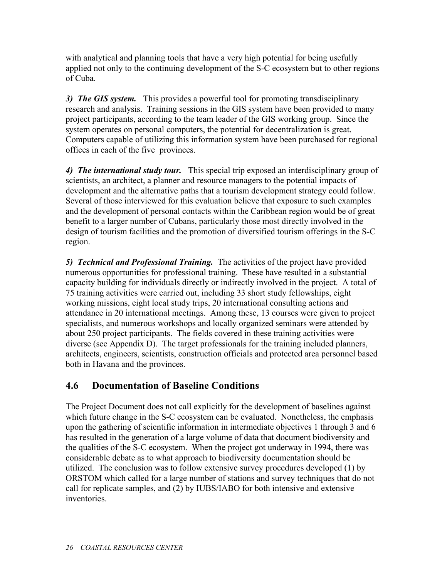with analytical and planning tools that have a very high potential for being usefully applied not only to the continuing development of the S-C ecosystem but to other regions of Cuba.

*3) The GIS system.* This provides a powerful tool for promoting transdisciplinary research and analysis. Training sessions in the GIS system have been provided to many project participants, according to the team leader of the GIS working group. Since the system operates on personal computers, the potential for decentralization is great. Computers capable of utilizing this information system have been purchased for regional offices in each of the five provinces.

*4) The international study tour.* This special trip exposed an interdisciplinary group of scientists, an architect, a planner and resource managers to the potential impacts of development and the alternative paths that a tourism development strategy could follow. Several of those interviewed for this evaluation believe that exposure to such examples and the development of personal contacts within the Caribbean region would be of great benefit to a larger number of Cubans, particularly those most directly involved in the design of tourism facilities and the promotion of diversified tourism offerings in the S-C region.

*5) Technical and Professional Training.* The activities of the project have provided numerous opportunities for professional training. These have resulted in a substantial capacity building for individuals directly or indirectly involved in the project. A total of 75 training activities were carried out, including 33 short study fellowships, eight working missions, eight local study trips, 20 international consulting actions and attendance in 20 international meetings. Among these, 13 courses were given to project specialists, and numerous workshops and locally organized seminars were attended by about 250 project participants. The fields covered in these training activities were diverse (see Appendix D). The target professionals for the training included planners, architects, engineers, scientists, construction officials and protected area personnel based both in Havana and the provinces.

### **4.6 Documentation of Baseline Conditions**

The Project Document does not call explicitly for the development of baselines against which future change in the S-C ecosystem can be evaluated. Nonetheless, the emphasis upon the gathering of scientific information in intermediate objectives 1 through 3 and 6 has resulted in the generation of a large volume of data that document biodiversity and the qualities of the S-C ecosystem. When the project got underway in 1994, there was considerable debate as to what approach to biodiversity documentation should be utilized. The conclusion was to follow extensive survey procedures developed (1) by ORSTOM which called for a large number of stations and survey techniques that do not call for replicate samples, and (2) by IUBS/IABO for both intensive and extensive inventories.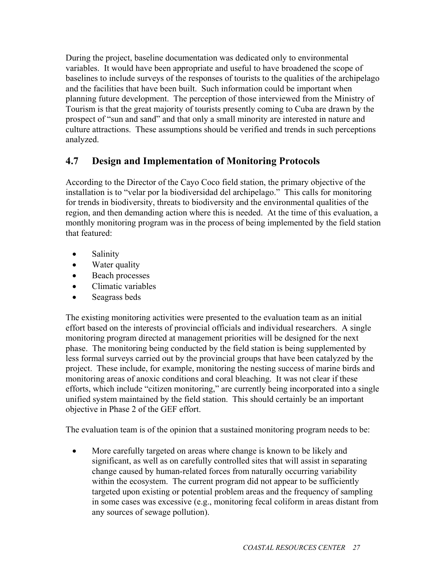During the project, baseline documentation was dedicated only to environmental variables. It would have been appropriate and useful to have broadened the scope of baselines to include surveys of the responses of tourists to the qualities of the archipelago and the facilities that have been built. Such information could be important when planning future development. The perception of those interviewed from the Ministry of Tourism is that the great majority of tourists presently coming to Cuba are drawn by the prospect of "sun and sand" and that only a small minority are interested in nature and culture attractions. These assumptions should be verified and trends in such perceptions analyzed.

#### **4.7 Design and Implementation of Monitoring Protocols**

According to the Director of the Cayo Coco field station, the primary objective of the installation is to "velar por la biodiversidad del archipelago." This calls for monitoring for trends in biodiversity, threats to biodiversity and the environmental qualities of the region, and then demanding action where this is needed. At the time of this evaluation, a monthly monitoring program was in the process of being implemented by the field station that featured:

- Salinity
- Water quality
- Beach processes
- Climatic variables
- Seagrass beds

The existing monitoring activities were presented to the evaluation team as an initial effort based on the interests of provincial officials and individual researchers. A single monitoring program directed at management priorities will be designed for the next phase. The monitoring being conducted by the field station is being supplemented by less formal surveys carried out by the provincial groups that have been catalyzed by the project. These include, for example, monitoring the nesting success of marine birds and monitoring areas of anoxic conditions and coral bleaching. It was not clear if these efforts, which include "citizen monitoring," are currently being incorporated into a single unified system maintained by the field station. This should certainly be an important objective in Phase 2 of the GEF effort.

The evaluation team is of the opinion that a sustained monitoring program needs to be:

• More carefully targeted on areas where change is known to be likely and significant, as well as on carefully controlled sites that will assist in separating change caused by human-related forces from naturally occurring variability within the ecosystem. The current program did not appear to be sufficiently targeted upon existing or potential problem areas and the frequency of sampling in some cases was excessive (e.g., monitoring fecal coliform in areas distant from any sources of sewage pollution).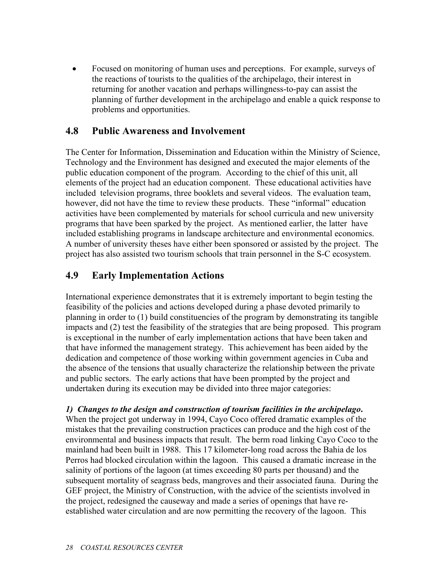• Focused on monitoring of human uses and perceptions. For example, surveys of the reactions of tourists to the qualities of the archipelago, their interest in returning for another vacation and perhaps willingness-to-pay can assist the planning of further development in the archipelago and enable a quick response to problems and opportunities.

#### **4.8 Public Awareness and Involvement**

The Center for Information, Dissemination and Education within the Ministry of Science, Technology and the Environment has designed and executed the major elements of the public education component of the program. According to the chief of this unit, all elements of the project had an education component. These educational activities have included television programs, three booklets and several videos. The evaluation team, however, did not have the time to review these products. These "informal" education activities have been complemented by materials for school curricula and new university programs that have been sparked by the project. As mentioned earlier, the latter have included establishing programs in landscape architecture and environmental economics. A number of university theses have either been sponsored or assisted by the project. The project has also assisted two tourism schools that train personnel in the S-C ecosystem.

#### **4.9 Early Implementation Actions**

International experience demonstrates that it is extremely important to begin testing the feasibility of the policies and actions developed during a phase devoted primarily to planning in order to (1) build constituencies of the program by demonstrating its tangible impacts and (2) test the feasibility of the strategies that are being proposed. This program is exceptional in the number of early implementation actions that have been taken and that have informed the management strategy. This achievement has been aided by the dedication and competence of those working within government agencies in Cuba and the absence of the tensions that usually characterize the relationship between the private and public sectors. The early actions that have been prompted by the project and undertaken during its execution may be divided into three major categories:

*1) Changes to the design and construction of tourism facilities in the archipelago***.** When the project got underway in 1994, Cayo Coco offered dramatic examples of the mistakes that the prevailing construction practices can produce and the high cost of the environmental and business impacts that result. The berm road linking Cayo Coco to the mainland had been built in 1988. This 17 kilometer-long road across the Bahia de los Perros had blocked circulation within the lagoon. This caused a dramatic increase in the salinity of portions of the lagoon (at times exceeding 80 parts per thousand) and the subsequent mortality of seagrass beds, mangroves and their associated fauna. During the GEF project, the Ministry of Construction, with the advice of the scientists involved in the project, redesigned the causeway and made a series of openings that have reestablished water circulation and are now permitting the recovery of the lagoon. This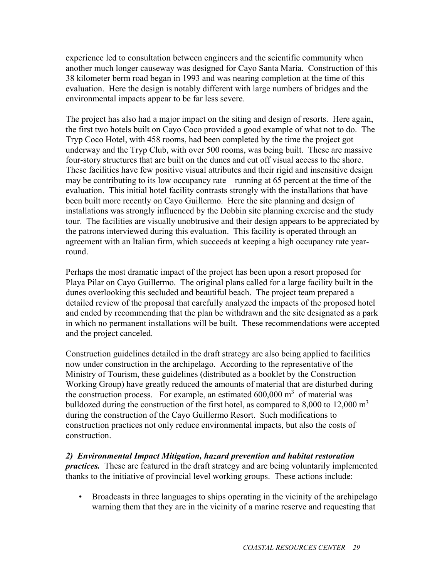experience led to consultation between engineers and the scientific community when another much longer causeway was designed for Cayo Santa Maria. Construction of this 38 kilometer berm road began in 1993 and was nearing completion at the time of this evaluation. Here the design is notably different with large numbers of bridges and the environmental impacts appear to be far less severe.

The project has also had a major impact on the siting and design of resorts. Here again, the first two hotels built on Cayo Coco provided a good example of what not to do. The Tryp Coco Hotel, with 458 rooms, had been completed by the time the project got underway and the Tryp Club, with over 500 rooms, was being built. These are massive four-story structures that are built on the dunes and cut off visual access to the shore. These facilities have few positive visual attributes and their rigid and insensitive design may be contributing to its low occupancy rate—running at 65 percent at the time of the evaluation. This initial hotel facility contrasts strongly with the installations that have been built more recently on Cayo Guillermo. Here the site planning and design of installations was strongly influenced by the Dobbin site planning exercise and the study tour. The facilities are visually unobtrusive and their design appears to be appreciated by the patrons interviewed during this evaluation. This facility is operated through an agreement with an Italian firm, which succeeds at keeping a high occupancy rate yearround.

Perhaps the most dramatic impact of the project has been upon a resort proposed for Playa Pilar on Cayo Guillermo. The original plans called for a large facility built in the dunes overlooking this secluded and beautiful beach. The project team prepared a detailed review of the proposal that carefully analyzed the impacts of the proposed hotel and ended by recommending that the plan be withdrawn and the site designated as a park in which no permanent installations will be built. These recommendations were accepted and the project canceled.

Construction guidelines detailed in the draft strategy are also being applied to facilities now under construction in the archipelago. According to the representative of the Ministry of Tourism, these guidelines (distributed as a booklet by the Construction Working Group) have greatly reduced the amounts of material that are disturbed during the construction process. For example, an estimated  $600,000 \text{ m}^3$  of material was bulldozed during the construction of the first hotel, as compared to 8,000 to 12,000  $m<sup>3</sup>$ during the construction of the Cayo Guillermo Resort. Such modifications to construction practices not only reduce environmental impacts, but also the costs of construction.

*2) Environmental Impact Mitigation, hazard prevention and habitat restoration practices.* These are featured in the draft strategy and are being voluntarily implemented thanks to the initiative of provincial level working groups. These actions include:

• Broadcasts in three languages to ships operating in the vicinity of the archipelago warning them that they are in the vicinity of a marine reserve and requesting that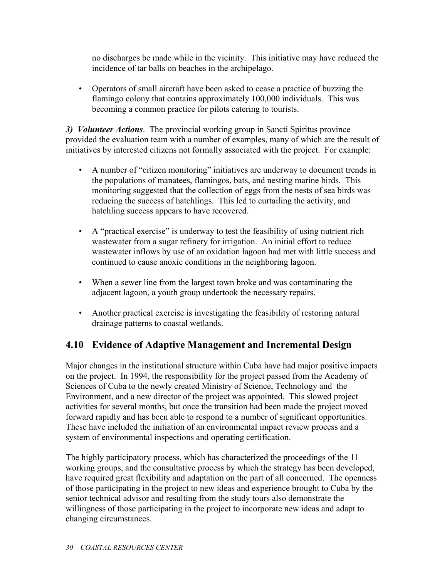no discharges be made while in the vicinity. This initiative may have reduced the incidence of tar balls on beaches in the archipelago.

• Operators of small aircraft have been asked to cease a practice of buzzing the flamingo colony that contains approximately 100,000 individuals. This was becoming a common practice for pilots catering to tourists.

*3) Volunteer Actions*. The provincial working group in Sancti Spiritus province provided the evaluation team with a number of examples, many of which are the result of initiatives by interested citizens not formally associated with the project. For example:

- A number of "citizen monitoring" initiatives are underway to document trends in the populations of manatees, flamingos, bats, and nesting marine birds. This monitoring suggested that the collection of eggs from the nests of sea birds was reducing the success of hatchlings. This led to curtailing the activity, and hatchling success appears to have recovered.
- A "practical exercise" is underway to test the feasibility of using nutrient rich wastewater from a sugar refinery for irrigation. An initial effort to reduce wastewater inflows by use of an oxidation lagoon had met with little success and continued to cause anoxic conditions in the neighboring lagoon.
- When a sewer line from the largest town broke and was contaminating the adjacent lagoon, a youth group undertook the necessary repairs.
- Another practical exercise is investigating the feasibility of restoring natural drainage patterns to coastal wetlands.

### **4.10 Evidence of Adaptive Management and Incremental Design**

Major changes in the institutional structure within Cuba have had major positive impacts on the project. In 1994, the responsibility for the project passed from the Academy of Sciences of Cuba to the newly created Ministry of Science, Technology and the Environment, and a new director of the project was appointed. This slowed project activities for several months, but once the transition had been made the project moved forward rapidly and has been able to respond to a number of significant opportunities. These have included the initiation of an environmental impact review process and a system of environmental inspections and operating certification.

The highly participatory process, which has characterized the proceedings of the 11 working groups, and the consultative process by which the strategy has been developed, have required great flexibility and adaptation on the part of all concerned. The openness of those participating in the project to new ideas and experience brought to Cuba by the senior technical advisor and resulting from the study tours also demonstrate the willingness of those participating in the project to incorporate new ideas and adapt to changing circumstances.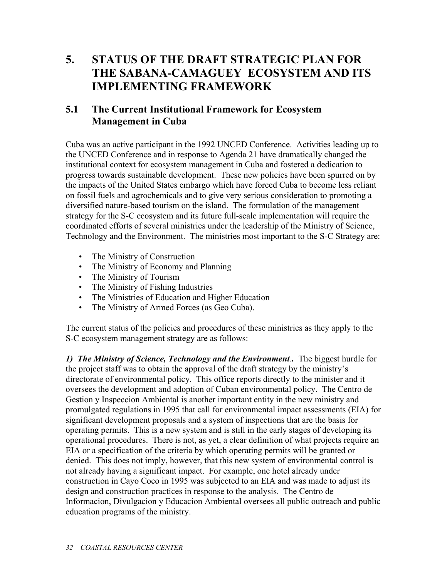# **5. STATUS OF THE DRAFT STRATEGIC PLAN FOR THE SABANA-CAMAGUEY ECOSYSTEM AND ITS IMPLEMENTING FRAMEWORK**

## **5.1 The Current Institutional Framework for Ecosystem Management in Cuba**

Cuba was an active participant in the 1992 UNCED Conference. Activities leading up to the UNCED Conference and in response to Agenda 21 have dramatically changed the institutional context for ecosystem management in Cuba and fostered a dedication to progress towards sustainable development. These new policies have been spurred on by the impacts of the United States embargo which have forced Cuba to become less reliant on fossil fuels and agrochemicals and to give very serious consideration to promoting a diversified nature-based tourism on the island. The formulation of the management strategy for the S-C ecosystem and its future full-scale implementation will require the coordinated efforts of several ministries under the leadership of the Ministry of Science, Technology and the Environment. The ministries most important to the S-C Strategy are:

- The Ministry of Construction
- The Ministry of Economy and Planning
- The Ministry of Tourism
- The Ministry of Fishing Industries
- The Ministries of Education and Higher Education
- The Ministry of Armed Forces (as Geo Cuba).

The current status of the policies and procedures of these ministries as they apply to the S-C ecosystem management strategy are as follows:

*1) The Ministry of Science, Technology and the Environment*.*.* The biggest hurdle for the project staff was to obtain the approval of the draft strategy by the ministry's directorate of environmental policy. This office reports directly to the minister and it oversees the development and adoption of Cuban environmental policy. The Centro de Gestion y Inspeccion Ambiental is another important entity in the new ministry and promulgated regulations in 1995 that call for environmental impact assessments (EIA) for significant development proposals and a system of inspections that are the basis for operating permits. This is a new system and is still in the early stages of developing its operational procedures. There is not, as yet, a clear definition of what projects require an EIA or a specification of the criteria by which operating permits will be granted or denied. This does not imply, however, that this new system of environmental control is not already having a significant impact. For example, one hotel already under construction in Cayo Coco in 1995 was subjected to an EIA and was made to adjust its design and construction practices in response to the analysis. The Centro de Informacion, Divulgacion y Educacion Ambiental oversees all public outreach and public education programs of the ministry.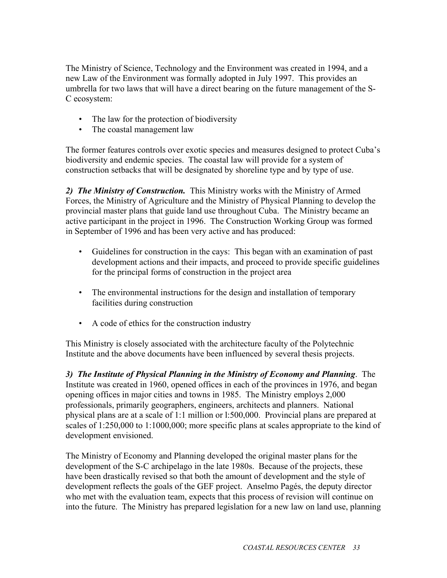The Ministry of Science, Technology and the Environment was created in 1994, and a new Law of the Environment was formally adopted in July 1997. This provides an umbrella for two laws that will have a direct bearing on the future management of the S-C ecosystem:

- The law for the protection of biodiversity
- The coastal management law

The former features controls over exotic species and measures designed to protect Cuba's biodiversity and endemic species. The coastal law will provide for a system of construction setbacks that will be designated by shoreline type and by type of use.

*2) The Ministry of Construction.* This Ministry works with the Ministry of Armed Forces, the Ministry of Agriculture and the Ministry of Physical Planning to develop the provincial master plans that guide land use throughout Cuba. The Ministry became an active participant in the project in 1996. The Construction Working Group was formed in September of 1996 and has been very active and has produced:

- Guidelines for construction in the cays: This began with an examination of past development actions and their impacts, and proceed to provide specific guidelines for the principal forms of construction in the project area
- The environmental instructions for the design and installation of temporary facilities during construction
- A code of ethics for the construction industry

This Ministry is closely associated with the architecture faculty of the Polytechnic Institute and the above documents have been influenced by several thesis projects.

*3) The Institute of Physical Planning in the Ministry of Economy and Planning*. The Institute was created in 1960, opened offices in each of the provinces in 1976, and began opening offices in major cities and towns in 1985. The Ministry employs 2,000 professionals, primarily geographers, engineers, architects and planners. National physical plans are at a scale of 1:1 million or l:500,000. Provincial plans are prepared at scales of 1:250,000 to 1:1000,000; more specific plans at scales appropriate to the kind of development envisioned.

The Ministry of Economy and Planning developed the original master plans for the development of the S-C archipelago in the late 1980s. Because of the projects, these have been drastically revised so that both the amount of development and the style of development reflects the goals of the GEF project. Anselmo Pagés, the deputy director who met with the evaluation team, expects that this process of revision will continue on into the future. The Ministry has prepared legislation for a new law on land use, planning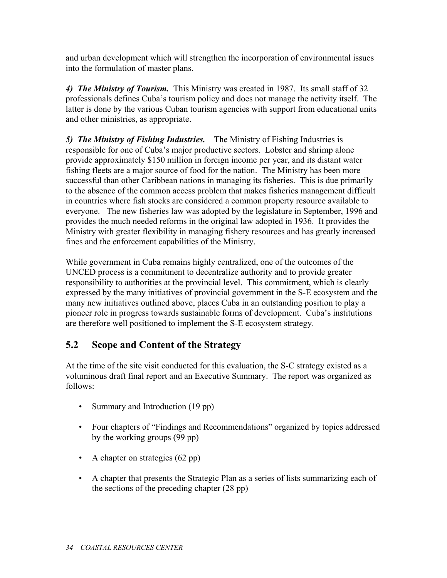and urban development which will strengthen the incorporation of environmental issues into the formulation of master plans.

*4) The Ministry of Tourism.* This Ministry was created in 1987. Its small staff of 32 professionals defines Cuba's tourism policy and does not manage the activity itself. The latter is done by the various Cuban tourism agencies with support from educational units and other ministries, as appropriate.

*5) The Ministry of Fishing Industries.* The Ministry of Fishing Industries is responsible for one of Cuba's major productive sectors. Lobster and shrimp alone provide approximately \$150 million in foreign income per year, and its distant water fishing fleets are a major source of food for the nation. The Ministry has been more successful than other Caribbean nations in managing its fisheries. This is due primarily to the absence of the common access problem that makes fisheries management difficult in countries where fish stocks are considered a common property resource available to everyone. The new fisheries law was adopted by the legislature in September, 1996 and provides the much needed reforms in the original law adopted in 1936. It provides the Ministry with greater flexibility in managing fishery resources and has greatly increased fines and the enforcement capabilities of the Ministry.

While government in Cuba remains highly centralized, one of the outcomes of the UNCED process is a commitment to decentralize authority and to provide greater responsibility to authorities at the provincial level. This commitment, which is clearly expressed by the many initiatives of provincial government in the S-E ecosystem and the many new initiatives outlined above, places Cuba in an outstanding position to play a pioneer role in progress towards sustainable forms of development. Cuba's institutions are therefore well positioned to implement the S-E ecosystem strategy.

### **5.2 Scope and Content of the Strategy**

At the time of the site visit conducted for this evaluation, the S-C strategy existed as a voluminous draft final report and an Executive Summary. The report was organized as follows:

- Summary and Introduction (19 pp)
- Four chapters of "Findings and Recommendations" organized by topics addressed by the working groups (99 pp)
- A chapter on strategies (62 pp)
- A chapter that presents the Strategic Plan as a series of lists summarizing each of the sections of the preceding chapter (28 pp)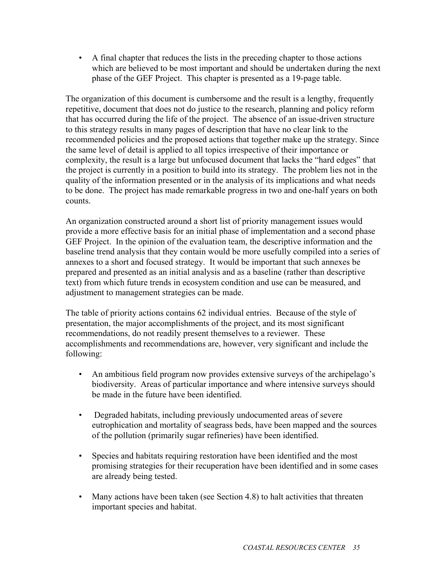• A final chapter that reduces the lists in the preceding chapter to those actions which are believed to be most important and should be undertaken during the next phase of the GEF Project. This chapter is presented as a 19-page table.

The organization of this document is cumbersome and the result is a lengthy, frequently repetitive, document that does not do justice to the research, planning and policy reform that has occurred during the life of the project. The absence of an issue-driven structure to this strategy results in many pages of description that have no clear link to the recommended policies and the proposed actions that together make up the strategy. Since the same level of detail is applied to all topics irrespective of their importance or complexity, the result is a large but unfocused document that lacks the "hard edges" that the project is currently in a position to build into its strategy. The problem lies not in the quality of the information presented or in the analysis of its implications and what needs to be done. The project has made remarkable progress in two and one-half years on both counts.

An organization constructed around a short list of priority management issues would provide a more effective basis for an initial phase of implementation and a second phase GEF Project. In the opinion of the evaluation team, the descriptive information and the baseline trend analysis that they contain would be more usefully compiled into a series of annexes to a short and focused strategy. It would be important that such annexes be prepared and presented as an initial analysis and as a baseline (rather than descriptive text) from which future trends in ecosystem condition and use can be measured, and adjustment to management strategies can be made.

The table of priority actions contains 62 individual entries. Because of the style of presentation, the major accomplishments of the project, and its most significant recommendations, do not readily present themselves to a reviewer. These accomplishments and recommendations are, however, very significant and include the following:

- An ambitious field program now provides extensive surveys of the archipelago's biodiversity. Areas of particular importance and where intensive surveys should be made in the future have been identified.
- Degraded habitats, including previously undocumented areas of severe eutrophication and mortality of seagrass beds, have been mapped and the sources of the pollution (primarily sugar refineries) have been identified.
- Species and habitats requiring restoration have been identified and the most promising strategies for their recuperation have been identified and in some cases are already being tested.
- Many actions have been taken (see Section 4.8) to halt activities that threaten important species and habitat.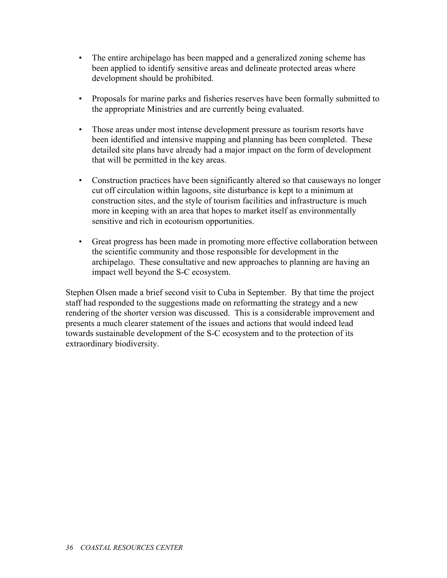- The entire archipelago has been mapped and a generalized zoning scheme has been applied to identify sensitive areas and delineate protected areas where development should be prohibited.
- Proposals for marine parks and fisheries reserves have been formally submitted to the appropriate Ministries and are currently being evaluated.
- Those areas under most intense development pressure as tourism resorts have been identified and intensive mapping and planning has been completed. These detailed site plans have already had a major impact on the form of development that will be permitted in the key areas.
- Construction practices have been significantly altered so that causeways no longer cut off circulation within lagoons, site disturbance is kept to a minimum at construction sites, and the style of tourism facilities and infrastructure is much more in keeping with an area that hopes to market itself as environmentally sensitive and rich in ecotourism opportunities.
- Great progress has been made in promoting more effective collaboration between the scientific community and those responsible for development in the archipelago. These consultative and new approaches to planning are having an impact well beyond the S-C ecosystem.

Stephen Olsen made a brief second visit to Cuba in September. By that time the project staff had responded to the suggestions made on reformatting the strategy and a new rendering of the shorter version was discussed. This is a considerable improvement and presents a much clearer statement of the issues and actions that would indeed lead towards sustainable development of the S-C ecosystem and to the protection of its extraordinary biodiversity.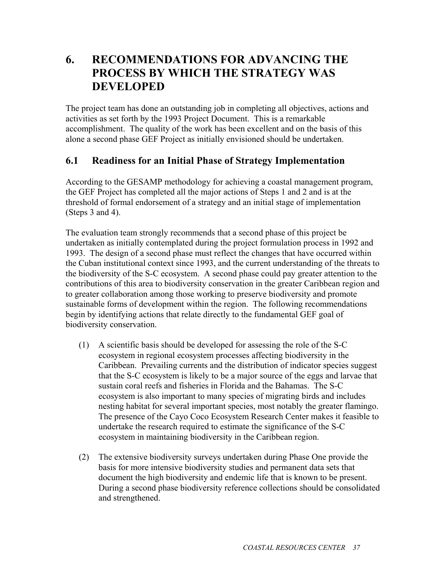# **6. RECOMMENDATIONS FOR ADVANCING THE PROCESS BY WHICH THE STRATEGY WAS DEVELOPED**

The project team has done an outstanding job in completing all objectives, actions and activities as set forth by the 1993 Project Document. This is a remarkable accomplishment. The quality of the work has been excellent and on the basis of this alone a second phase GEF Project as initially envisioned should be undertaken.

#### **6.1 Readiness for an Initial Phase of Strategy Implementation**

According to the GESAMP methodology for achieving a coastal management program, the GEF Project has completed all the major actions of Steps 1 and 2 and is at the threshold of formal endorsement of a strategy and an initial stage of implementation (Steps 3 and 4).

The evaluation team strongly recommends that a second phase of this project be undertaken as initially contemplated during the project formulation process in 1992 and 1993. The design of a second phase must reflect the changes that have occurred within the Cuban institutional context since 1993, and the current understanding of the threats to the biodiversity of the S-C ecosystem. A second phase could pay greater attention to the contributions of this area to biodiversity conservation in the greater Caribbean region and to greater collaboration among those working to preserve biodiversity and promote sustainable forms of development within the region. The following recommendations begin by identifying actions that relate directly to the fundamental GEF goal of biodiversity conservation.

- (1) A scientific basis should be developed for assessing the role of the S-C ecosystem in regional ecosystem processes affecting biodiversity in the Caribbean. Prevailing currents and the distribution of indicator species suggest that the S-C ecosystem is likely to be a major source of the eggs and larvae that sustain coral reefs and fisheries in Florida and the Bahamas. The S-C ecosystem is also important to many species of migrating birds and includes nesting habitat for several important species, most notably the greater flamingo. The presence of the Cayo Coco Ecosystem Research Center makes it feasible to undertake the research required to estimate the significance of the S-C ecosystem in maintaining biodiversity in the Caribbean region.
- (2) The extensive biodiversity surveys undertaken during Phase One provide the basis for more intensive biodiversity studies and permanent data sets that document the high biodiversity and endemic life that is known to be present. During a second phase biodiversity reference collections should be consolidated and strengthened.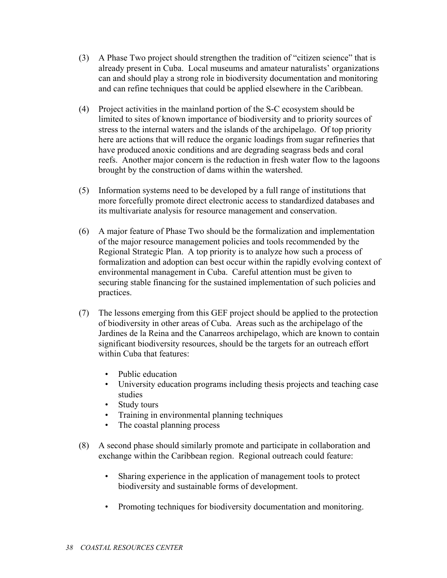- (3) A Phase Two project should strengthen the tradition of "citizen science" that is already present in Cuba. Local museums and amateur naturalists' organizations can and should play a strong role in biodiversity documentation and monitoring and can refine techniques that could be applied elsewhere in the Caribbean.
- (4) Project activities in the mainland portion of the S-C ecosystem should be limited to sites of known importance of biodiversity and to priority sources of stress to the internal waters and the islands of the archipelago. Of top priority here are actions that will reduce the organic loadings from sugar refineries that have produced anoxic conditions and are degrading seagrass beds and coral reefs. Another major concern is the reduction in fresh water flow to the lagoons brought by the construction of dams within the watershed.
- (5) Information systems need to be developed by a full range of institutions that more forcefully promote direct electronic access to standardized databases and its multivariate analysis for resource management and conservation.
- (6) A major feature of Phase Two should be the formalization and implementation of the major resource management policies and tools recommended by the Regional Strategic Plan. A top priority is to analyze how such a process of formalization and adoption can best occur within the rapidly evolving context of environmental management in Cuba. Careful attention must be given to securing stable financing for the sustained implementation of such policies and practices.
- (7) The lessons emerging from this GEF project should be applied to the protection of biodiversity in other areas of Cuba. Areas such as the archipelago of the Jardines de la Reina and the Canarreos archipelago, which are known to contain significant biodiversity resources, should be the targets for an outreach effort within Cuba that features:
	- Public education
	- University education programs including thesis projects and teaching case studies
	- Study tours
	- Training in environmental planning techniques
	- The coastal planning process
- (8) A second phase should similarly promote and participate in collaboration and exchange within the Caribbean region. Regional outreach could feature:
	- Sharing experience in the application of management tools to protect biodiversity and sustainable forms of development.
	- Promoting techniques for biodiversity documentation and monitoring.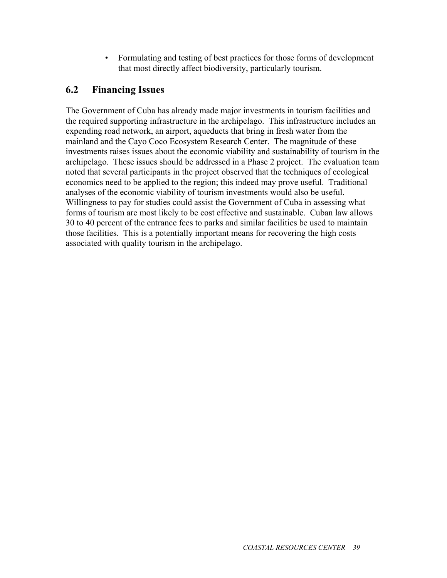• Formulating and testing of best practices for those forms of development that most directly affect biodiversity, particularly tourism.

## **6.2 Financing Issues**

The Government of Cuba has already made major investments in tourism facilities and the required supporting infrastructure in the archipelago. This infrastructure includes an expending road network, an airport, aqueducts that bring in fresh water from the mainland and the Cayo Coco Ecosystem Research Center. The magnitude of these investments raises issues about the economic viability and sustainability of tourism in the archipelago. These issues should be addressed in a Phase 2 project. The evaluation team noted that several participants in the project observed that the techniques of ecological economics need to be applied to the region; this indeed may prove useful. Traditional analyses of the economic viability of tourism investments would also be useful. Willingness to pay for studies could assist the Government of Cuba in assessing what forms of tourism are most likely to be cost effective and sustainable. Cuban law allows 30 to 40 percent of the entrance fees to parks and similar facilities be used to maintain those facilities. This is a potentially important means for recovering the high costs associated with quality tourism in the archipelago.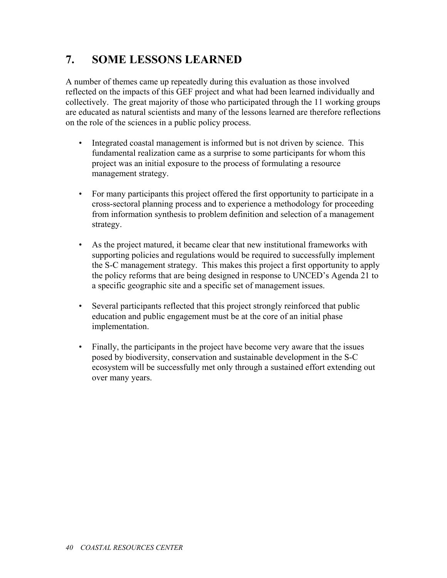# **7. SOME LESSONS LEARNED**

A number of themes came up repeatedly during this evaluation as those involved reflected on the impacts of this GEF project and what had been learned individually and collectively. The great majority of those who participated through the 11 working groups are educated as natural scientists and many of the lessons learned are therefore reflections on the role of the sciences in a public policy process.

- Integrated coastal management is informed but is not driven by science. This fundamental realization came as a surprise to some participants for whom this project was an initial exposure to the process of formulating a resource management strategy.
- For many participants this project offered the first opportunity to participate in a cross-sectoral planning process and to experience a methodology for proceeding from information synthesis to problem definition and selection of a management strategy.
- As the project matured, it became clear that new institutional frameworks with supporting policies and regulations would be required to successfully implement the S-C management strategy. This makes this project a first opportunity to apply the policy reforms that are being designed in response to UNCED's Agenda 21 to a specific geographic site and a specific set of management issues.
- Several participants reflected that this project strongly reinforced that public education and public engagement must be at the core of an initial phase implementation.
- Finally, the participants in the project have become very aware that the issues posed by biodiversity, conservation and sustainable development in the S-C ecosystem will be successfully met only through a sustained effort extending out over many years.